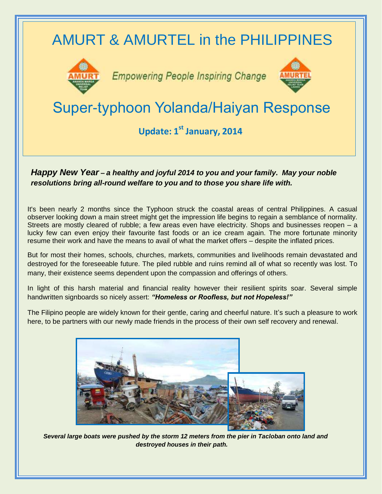

## *Happy New Year – a healthy and joyful 2014 to you and your family. May your noble resolutions bring all-round welfare to you and to those you share life with.*

It's been nearly 2 months since the Typhoon struck the coastal areas of central Philippines. A casual observer looking down a main street might get the impression life begins to regain a semblance of normality. Streets are mostly cleared of rubble; a few areas even have electricity. Shops and businesses reopen – a lucky few can even enjoy their favourite fast foods or an ice cream again. The more fortunate minority resume their work and have the means to avail of what the market offers – despite the inflated prices.

But for most their homes, schools, churches, markets, communities and livelihoods remain devastated and destroyed for the foreseeable future. The piled rubble and ruins remind all of what so recently was lost. To many, their existence seems dependent upon the compassion and offerings of others.

In light of this harsh material and financial reality however their resilient spirits soar. Several simple handwritten signboards so nicely assert: *"Homeless or Roofless, but not Hopeless!"*

The Filipino people are widely known for their gentle, caring and cheerful nature. It's such a pleasure to work here, to be partners with our newly made friends in the process of their own self recovery and renewal.



*Several large boats were pushed by the storm 12 meters from the pier in Tacloban onto land and destroyed houses in their path.*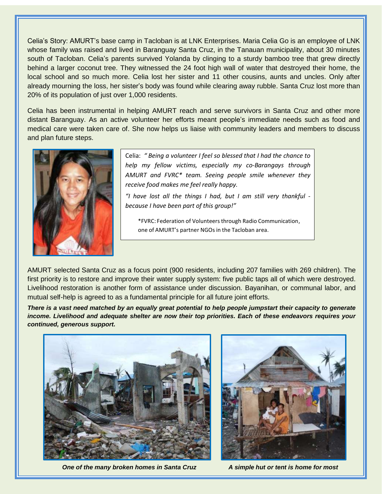Celia's Story: AMURT's base camp in Tacloban is at LNK Enterprises. Maria Celia Go is an employee of LNK whose family was raised and lived in Baranguay Santa Cruz, in the Tanauan municipality, about 30 minutes south of Tacloban. Celia's parents survived Yolanda by clinging to a sturdy bamboo tree that grew directly behind a larger coconut tree. They witnessed the 24 foot high wall of water that destroyed their home, the local school and so much more. Celia lost her sister and 11 other cousins, aunts and uncles. Only after already mourning the loss, her sister's body was found while clearing away rubble. Santa Cruz lost more than 20% of its population of just over 1,000 residents.

Celia has been instrumental in helping AMURT reach and serve survivors in Santa Cruz and other more distant Baranguay. As an active volunteer her efforts meant people's immediate needs such as food and medical care were taken care of. She now helps us liaise with community leaders and members to discuss and plan future steps.



Celia: *" Being a volunteer I feel so blessed that I had the chance to help my fellow victims, especially my co-Barangays through AMURT and FVRC\* team. Seeing people smile whenever they receive food makes me feel really happy.*

*"I have lost all the things I had, but I am still very thankful because I have been part of this group!"*

\*FVRC: Federation of Volunteersthrough Radio Communication, one of AMURT's partner NGOs in the Tacloban area.

AMURT selected Santa Cruz as a focus point (900 residents, including 207 families with 269 children). The first priority is to restore and improve their water supply system: five public taps all of which were destroyed. Livelihood restoration is another form of assistance under discussion. Bayanihan, or communal labor, and mutual self-help is agreed to as a fundamental principle for all future joint efforts.

*There is a vast need matched by an equally great potential to help people jumpstart their capacity to generate income. Livelihood and adequate shelter are now their top priorities. Each of these endeavors requires your continued, generous support.*



*One of the many broken homes in Santa Cruz A simple hut or tent is home for most*

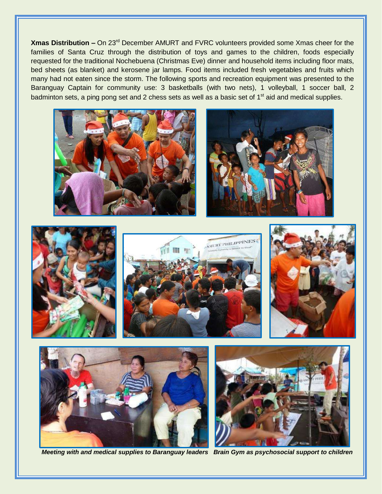**Xmas Distribution –** On 23rd December AMURT and FVRC volunteers provided some Xmas cheer for the families of Santa Cruz through the distribution of toys and games to the children, foods especially requested for the traditional Nochebuena (Christmas Eve) dinner and household items including floor mats, bed sheets (as blanket) and kerosene jar lamps. Food items included fresh vegetables and fruits which many had not eaten since the storm. The following sports and recreation equipment was presented to the Baranguay Captain for community use: 3 basketballs (with two nets), 1 volleyball, 1 soccer ball, 2 badminton sets, a ping pong set and 2 chess sets as well as a basic set of 1<sup>st</sup> aid and medical supplies.















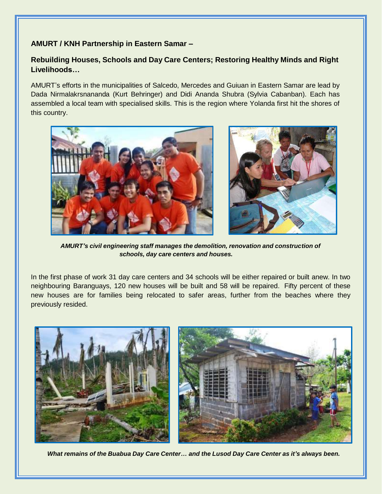## **AMURT / KNH Partnership in Eastern Samar –**

## **Rebuilding Houses, Schools and Day Care Centers; Restoring Healthy Minds and Right Livelihoods…**

AMURT's efforts in the municipalities of Salcedo, Mercedes and Guiuan in Eastern Samar are lead by Dada Nirmalakrsnananda (Kurt Behringer) and Didi Ananda Shubra (Sylvia Cabanban). Each has assembled a local team with specialised skills. This is the region where Yolanda first hit the shores of this country.



 *AMURT's civil engineering staff manages the demolition, renovation and construction of schools, day care centers and houses.*

In the first phase of work 31 day care centers and 34 schools will be either repaired or built anew. In two neighbouring Baranguays, 120 new houses will be built and 58 will be repaired. Fifty percent of these new houses are for families being relocated to safer areas, further from the beaches where they previously resided.



*What remains of the Buabua Day Care Center… and the Lusod Day Care Center as it's always been.*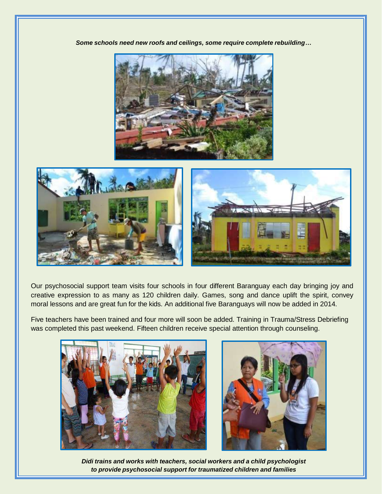*Some schools need new roofs and ceilings, some require complete rebuilding…*





Our psychosocial support team visits four schools in four different Baranguay each day bringing joy and creative expression to as many as 120 children daily. Games, song and dance uplift the spirit, convey moral lessons and are great fun for the kids. An additional five Baranguays will now be added in 2014.

Five teachers have been trained and four more will soon be added. Training in Trauma/Stress Debriefing was completed this past weekend. Fifteen children receive special attention through counseling.





*Didi trains and works with teachers, social workers and a child psychologist to provide psychosocial support for traumatized children and families*